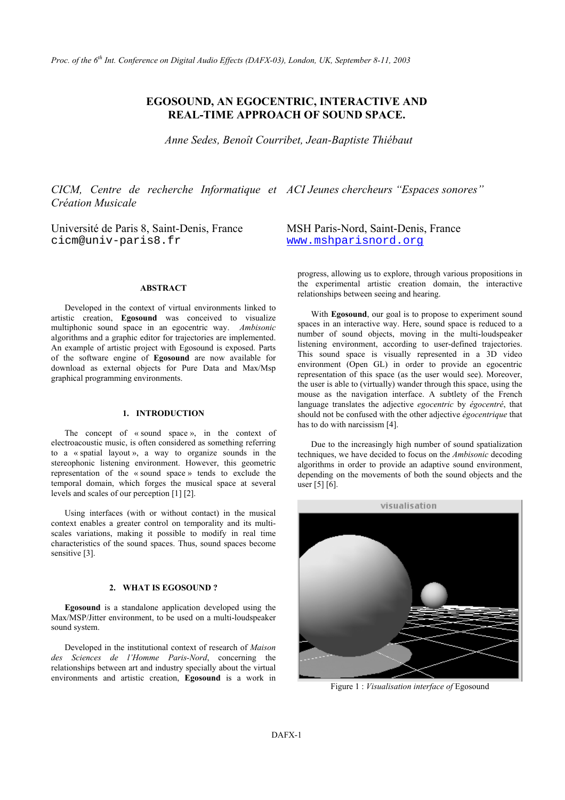# **EGOSOUND, AN EGOCENTRIC, INTERACTIVE AND REAL-TIME APPROACH OF SOUND SPACE.**

*Anne Sedes, Benoît Courribet, Jean-Baptiste Thiébaut* 

*CICM, Centre de recherche Informatique et ACI Jeunes chercheurs "Espaces sonores" Création Musicale* 

cicm@univ-paris8.fr [www.mshparisnord.org](http://www.mshparisnord.org/)

# **ABSTRACT**

Developed in the context of virtual environments linked to artistic creation, **Egosound** was conceived to visualize multiphonic sound space in an egocentric way. *Ambisonic*  algorithms and a graphic editor for trajectories are implemented. An example of artistic project with Egosound is exposed. Parts of the software engine of **Egosound** are now available for download as external objects for Pure Data and Max/Msp graphical programming environments.

## **1. INTRODUCTION**

The concept of « sound space », in the context of electroacoustic music, is often considered as something referring to a « spatial layout », a way to organize sounds in the stereophonic listening environment. However, this geometric representation of the « sound space » tends to exclude the temporal domain, which forges the musical space at several levels and scales of our perception [1] [2].

Using interfaces (with or without contact) in the musical context enables a greater control on temporality and its multiscales variations, making it possible to modify in real time characteristics of the sound spaces. Thus, sound spaces become sensitive [3].

# **2. WHAT IS EGOSOUND ?**

**Egosound** is a standalone application developed using the Max/MSP/Jitter environment, to be used on a multi-loudspeaker sound system.

Developed in the institutional context of research of *Maison des Sciences de l'Homme Paris-Nord*, concerning the relationships between art and industry specially about the virtual environments and artistic creation, **Egosound** is a work in

Université de Paris 8, Saint-Denis, France MSH Paris-Nord, Saint-Denis, France

progress, allowing us to explore, through various propositions in the experimental artistic creation domain, the interactive relationships between seeing and hearing.

With **Egosound**, our goal is to propose to experiment sound spaces in an interactive way. Here, sound space is reduced to a number of sound objects, moving in the multi-loudspeaker listening environment, according to user-defined trajectories. This sound space is visually represented in a 3D video environment (Open GL) in order to provide an egocentric representation of this space (as the user would see). Moreover, the user is able to (virtually) wander through this space, using the mouse as the navigation interface. A subtlety of the French language translates the adjective *egocentric* by *égocentré*, that should not be confused with the other adjective *égocentrique* that has to do with narcissism [4].

Due to the increasingly high number of sound spatialization techniques, we have decided to focus on the *Ambisonic* decoding algorithms in order to provide an adaptive sound environment, depending on the movements of both the sound objects and the user [5] [6].



Figure 1 : *Visualisation interface of* Egosound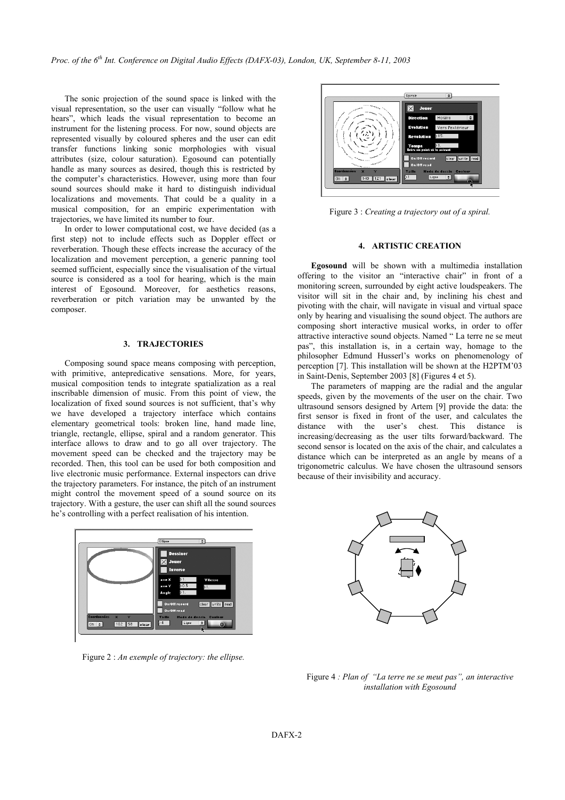The sonic projection of the sound space is linked with the visual representation, so the user can visually "follow what he hears", which leads the visual representation to become an instrument for the listening process. For now, sound objects are represented visually by coloured spheres and the user can edit transfer functions linking sonic morphologies with visual attributes (size, colour saturation). Egosound can potentially handle as many sources as desired, though this is restricted by the computer's characteristics. However, using more than four sound sources should make it hard to distinguish individual localizations and movements. That could be a quality in a musical composition, for an empiric experimentation with musical composition, for an empiric experimentation with Figure 3 : *Creating a trajectory out of a spiral*. trajectories, we have limited its number to four.

In order to lower computational cost, we have decided (as a first step) not to include effects such as Doppler effect or reverberation. Though these effects increase the accuracy of the localization and movement perception, a generic panning tool seemed sufficient, especially since the visualisation of the virtual source is considered as a tool for hearing, which is the main interest of Egosound. Moreover, for aesthetics reasons, reverberation or pitch variation may be unwanted by the composer.

### **3. TRAJECTORIES**

Composing sound space means composing with perception, with primitive, antepredicative sensations. More, for years, musical composition tends to integrate spatialization as a real inscribable dimension of music. From this point of view, the localization of fixed sound sources is not sufficient, that's why we have developed a trajectory interface which contains elementary geometrical tools: broken line, hand made line, triangle, rectangle, ellipse, spiral and a random generator. This interface allows to draw and to go all over trajectory. The movement speed can be checked and the trajectory may be recorded. Then, this tool can be used for both composition and live electronic music performance. External inspectors can drive the trajectory parameters. For instance, the pitch of an instrument might control the movement speed of a sound source on its trajectory. With a gesture, the user can shift all the sound sources he's controlling with a perfect realisation of his intention.



Figure 2 : *An exemple of trajectory: the ellipse.* 



# **4. ARTISTIC CREATION**

**Egosound** will be shown with a multimedia installation offering to the visitor an "interactive chair" in front of a monitoring screen, surrounded by eight active loudspeakers. The visitor will sit in the chair and, by inclining his chest and pivoting with the chair, will navigate in visual and virtual space only by hearing and visualising the sound object. The authors are composing short interactive musical works, in order to offer attractive interactive sound objects. Named " La terre ne se meut pas", this installation is, in a certain way, homage to the philosopher Edmund Husserl's works on phenomenology of perception [7]. This installation will be shown at the H2PTM'03 in Saint-Denis, September 2003 [8] (Figures 4 et 5).

The parameters of mapping are the radial and the angular speeds, given by the movements of the user on the chair. Two ultrasound sensors designed by Artem [9] provide the data: the first sensor is fixed in front of the user, and calculates the distance with the user's chest. This distance is increasing/decreasing as the user tilts forward/backward. The second sensor is located on the axis of the chair, and calculates a distance which can be interpreted as an angle by means of a trigonometric calculus. We have chosen the ultrasound sensors because of their invisibility and accuracy.



Figure 4 *: Plan of "La terre ne se meut pas", an interactive installation with Egosound*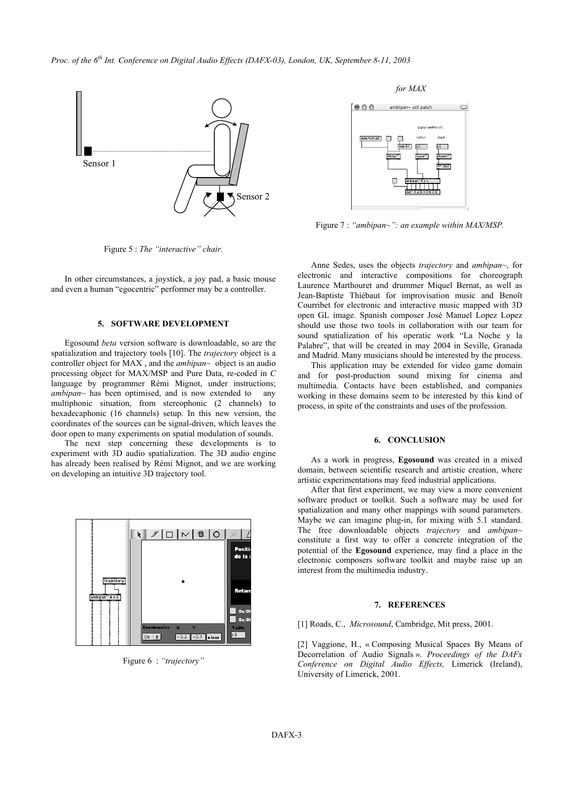

 *for MAX* 



Figure 7 : *"ambipan~": an example within MAX/MSP.* 

Figure 5 : *The "interactive" chair.*

In other circumstances, a joystick, a joy pad, a basic mouse and even a human "egocentric" performer may be a controller.

# **5. SOFTWARE DEVELOPMENT**

Egosound *beta* version software is downloadable, so are the spatialization and trajectory tools [10]. The *trajectory* object is a controller object for MAX , and the *ambipan~* object is an audio processing object for MAX/MSP and Pure Data, re-coded in *C* language by programmer Rémi Mignot, under instructions; *ambipan~* has been optimised, and is now extended to any multiphonic situation, from stereophonic (2 channels) to hexadecaphonic (16 channels) setup. In this new version, the coordinates of the sources can be signal-driven, which leaves the door open to many experiments on spatial modulation of sounds.

The next step concerning these developments is to **6. CONCLUSION** experiment with 3D audio spatialization. The 3D audio engine has already been realised by Rémi Mignot, and we are working on developing an intuitive 3D trajectory tool.



Figure 6 : *"trajectory"*

Anne Sedes, uses the objects *trajectory* and *ambipan~*, for electronic and interactive compositions for choreograph Laurence Marthouret and drummer Miquel Bernat, as well as Jean-Baptiste Thiébaut for improvisation music and Benoît Courribet for electronic and interactive music mapped with 3D open GL image. Spanish composer José Manuel Lopez Lopez should use those two tools in collaboration with our team for sound spatialization of his operatic work "La Noche y la Palabre", that will be created in may 2004 in Seville, Granada and Madrid. Many musicians should be interested by the process.

This application may be extended for video game domain and for post-production sound mixing for cinema and multimedia. Contacts have been established, and companies working in these domains seem to be interested by this kind of process, in spite of the constraints and uses of the profession.

As a work in progress, **Egosound** was created in a mixed domain, between scientific research and artistic creation, where artistic experimentations may feed industrial applications.

After that first experiment, we may view a more convenient software product or toolkit. Such a software may be used for spatialization and many other mappings with sound parameters. Maybe we can imagine plug-in, for mixing with 5.1 standard. The free downloadable objects *trajectory* and *ambipan~* constitute a first way to offer a concrete integration of the potential of the **Egosound** experience, may find a place in the electronic composers software toolkit and maybe raise up an interest from the multimedia industry.

#### **7. REFERENCES**

[1] Roads, C., *Microsound*, Cambridge, Mit press, 2001.

[2] Vaggione, H., « Composing Musical Spaces By Means of Decorrelation of Audio Signals ». *Proceedings of the DAFx Conference on Digital Audio Effects,* Limerick (Ireland), University of Limerick, 2001.